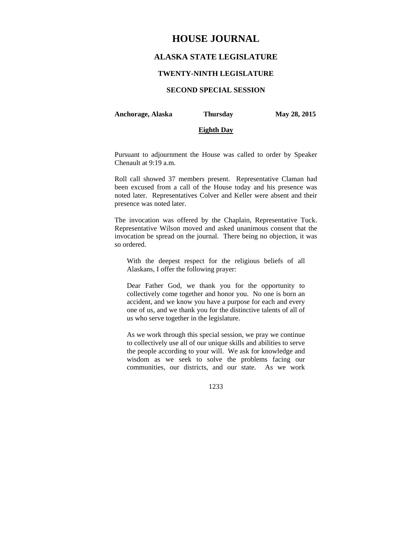# **HOUSE JOURNAL**

## **ALASKA STATE LEGISLATURE**

### **TWENTY-NINTH LEGISLATURE**

## **SECOND SPECIAL SESSION**

#### **Anchorage, Alaska Thursday May 28, 2015**

#### **Eighth Day**

Pursuant to adjournment the House was called to order by Speaker Chenault at 9:19 a.m.

Roll call showed 37 members present. Representative Claman had been excused from a call of the House today and his presence was noted later. Representatives Colver and Keller were absent and their presence was noted later.

The invocation was offered by the Chaplain, Representative Tuck. Representative Wilson moved and asked unanimous consent that the invocation be spread on the journal. There being no objection, it was so ordered.

With the deepest respect for the religious beliefs of all Alaskans, I offer the following prayer:

Dear Father God, we thank you for the opportunity to collectively come together and honor you. No one is born an accident, and we know you have a purpose for each and every one of us, and we thank you for the distinctive talents of all of us who serve together in the legislature.

As we work through this special session, we pray we continue to collectively use all of our unique skills and abilities to serve the people according to your will. We ask for knowledge and wisdom as we seek to solve the problems facing our communities, our districts, and our state. As we work

1233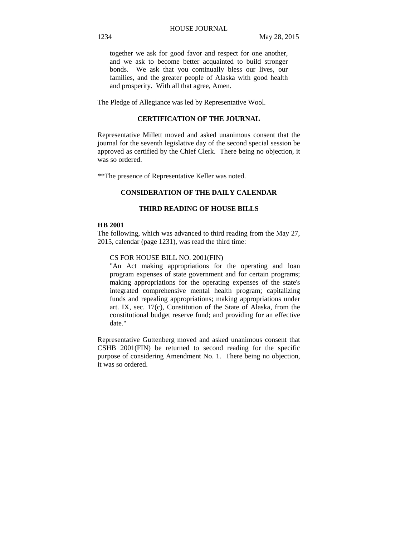together we ask for good favor and respect for one another, and we ask to become better acquainted to build stronger bonds. We ask that you continually bless our lives, our families, and the greater people of Alaska with good health and prosperity. With all that agree, Amen.

The Pledge of Allegiance was led by Representative Wool.

### **CERTIFICATION OF THE JOURNAL**

Representative Millett moved and asked unanimous consent that the journal for the seventh legislative day of the second special session be approved as certified by the Chief Clerk. There being no objection, it was so ordered.

\*\*The presence of Representative Keller was noted.

## **CONSIDERATION OF THE DAILY CALENDAR**

## **THIRD READING OF HOUSE BILLS**

## **HB 2001**

The following, which was advanced to third reading from the May 27, 2015, calendar (page 1231), was read the third time:

#### CS FOR HOUSE BILL NO. 2001(FIN)

"An Act making appropriations for the operating and loan program expenses of state government and for certain programs; making appropriations for the operating expenses of the state's integrated comprehensive mental health program; capitalizing funds and repealing appropriations; making appropriations under art. IX, sec. 17(c), Constitution of the State of Alaska, from the constitutional budget reserve fund; and providing for an effective date."

Representative Guttenberg moved and asked unanimous consent that CSHB 2001(FIN) be returned to second reading for the specific purpose of considering Amendment No. 1. There being no objection, it was so ordered.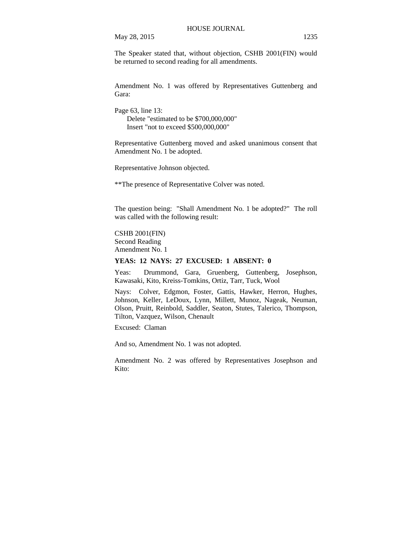The Speaker stated that, without objection, CSHB 2001(FIN) would be returned to second reading for all amendments.

Amendment No. 1 was offered by Representatives Guttenberg and Gara:

Page 63, line 13: Delete "estimated to be \$700,000,000" Insert "not to exceed \$500,000,000"

Representative Guttenberg moved and asked unanimous consent that Amendment No. 1 be adopted.

Representative Johnson objected.

\*\*The presence of Representative Colver was noted.

The question being: "Shall Amendment No. 1 be adopted?" The roll was called with the following result:

CSHB 2001(FIN)

Second Reading Amendment No. 1

## **YEAS: 12 NAYS: 27 EXCUSED: 1 ABSENT: 0**

Yeas: Drummond, Gara, Gruenberg, Guttenberg, Josephson, Kawasaki, Kito, Kreiss-Tomkins, Ortiz, Tarr, Tuck, Wool

Nays: Colver, Edgmon, Foster, Gattis, Hawker, Herron, Hughes, Johnson, Keller, LeDoux, Lynn, Millett, Munoz, Nageak, Neuman, Olson, Pruitt, Reinbold, Saddler, Seaton, Stutes, Talerico, Thompson, Tilton, Vazquez, Wilson, Chenault

Excused: Claman

And so, Amendment No. 1 was not adopted.

Amendment No. 2 was offered by Representatives Josephson and Kito: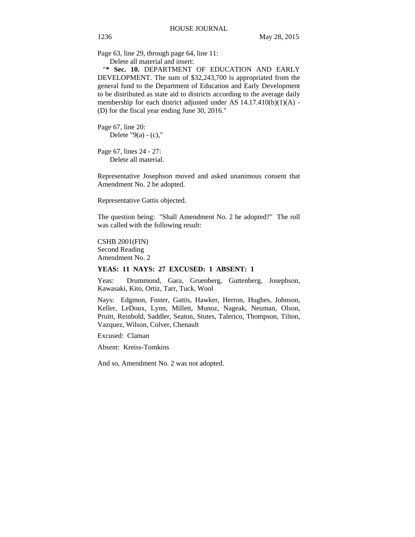Page 63, line 29, through page 64, line 11: Delete all material and insert:

"**\* Sec. 10.** DEPARTMENT OF EDUCATION AND EARLY DEVELOPMENT. The sum of \$32,243,700 is appropriated from the general fund to the Department of Education and Early Development to be distributed as state aid to districts according to the average daily membership for each district adjusted under AS 14.17.410(b)(1)(A) - (D) for the fiscal year ending June 30, 2016."

Page 67, line 20: Delete " $9(a) - (c)$ ,"

Page 67, lines 24 - 27: Delete all material.

Representative Josephson moved and asked unanimous consent that Amendment No. 2 be adopted.

Representative Gattis objected.

The question being: "Shall Amendment No. 2 be adopted?" The roll was called with the following result:

CSHB 2001(FIN) Second Reading Amendment No. 2

### **YEAS: 11 NAYS: 27 EXCUSED: 1 ABSENT: 1**

Yeas: Drummond, Gara, Gruenberg, Guttenberg, Josephson, Kawasaki, Kito, Ortiz, Tarr, Tuck, Wool

Nays: Edgmon, Foster, Gattis, Hawker, Herron, Hughes, Johnson, Keller, LeDoux, Lynn, Millett, Munoz, Nageak, Neuman, Olson, Pruitt, Reinbold, Saddler, Seaton, Stutes, Talerico, Thompson, Tilton, Vazquez, Wilson, Colver, Chenault

Excused: Claman

Absent: Kreiss-Tomkins

And so, Amendment No. 2 was not adopted.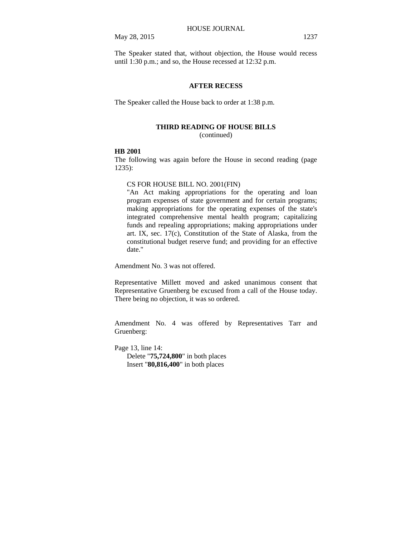The Speaker stated that, without objection, the House would recess until 1:30 p.m.; and so, the House recessed at 12:32 p.m.

### **AFTER RECESS**

The Speaker called the House back to order at 1:38 p.m.

### **THIRD READING OF HOUSE BILLS**

(continued)

#### **HB 2001**

The following was again before the House in second reading (page 1235):

#### CS FOR HOUSE BILL NO. 2001(FIN)

"An Act making appropriations for the operating and loan program expenses of state government and for certain programs; making appropriations for the operating expenses of the state's integrated comprehensive mental health program; capitalizing funds and repealing appropriations; making appropriations under art. IX, sec. 17(c), Constitution of the State of Alaska, from the constitutional budget reserve fund; and providing for an effective date."

Amendment No. 3 was not offered.

Representative Millett moved and asked unanimous consent that Representative Gruenberg be excused from a call of the House today. There being no objection, it was so ordered.

Amendment No. 4 was offered by Representatives Tarr and Gruenberg:

Page 13, line 14: Delete "**75,724,800**" in both places Insert "**80,816,400**" in both places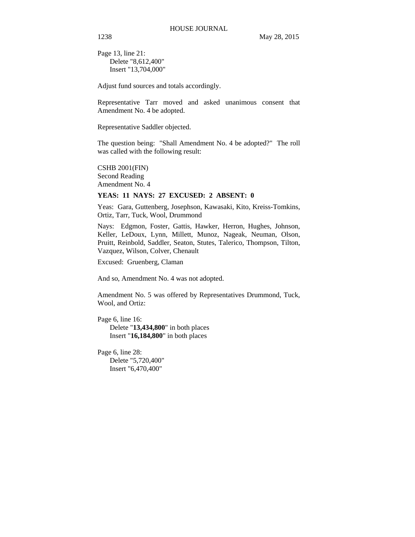Page 13, line 21: Delete "8,612,400" Insert "13,704,000"

Adjust fund sources and totals accordingly.

Representative Tarr moved and asked unanimous consent that Amendment No. 4 be adopted.

Representative Saddler objected.

The question being: "Shall Amendment No. 4 be adopted?" The roll was called with the following result:

CSHB 2001(FIN) Second Reading Amendment No. 4

### **YEAS: 11 NAYS: 27 EXCUSED: 2 ABSENT: 0**

Yeas: Gara, Guttenberg, Josephson, Kawasaki, Kito, Kreiss-Tomkins, Ortiz, Tarr, Tuck, Wool, Drummond

Nays: Edgmon, Foster, Gattis, Hawker, Herron, Hughes, Johnson, Keller, LeDoux, Lynn, Millett, Munoz, Nageak, Neuman, Olson, Pruitt, Reinbold, Saddler, Seaton, Stutes, Talerico, Thompson, Tilton, Vazquez, Wilson, Colver, Chenault

Excused: Gruenberg, Claman

And so, Amendment No. 4 was not adopted.

Amendment No. 5 was offered by Representatives Drummond, Tuck, Wool, and Ortiz:

Page 6, line 16: Delete "**13,434,800**" in both places Insert "**16,184,800**" in both places

Page 6, line 28: Delete "5,720,400" Insert "6,470,400"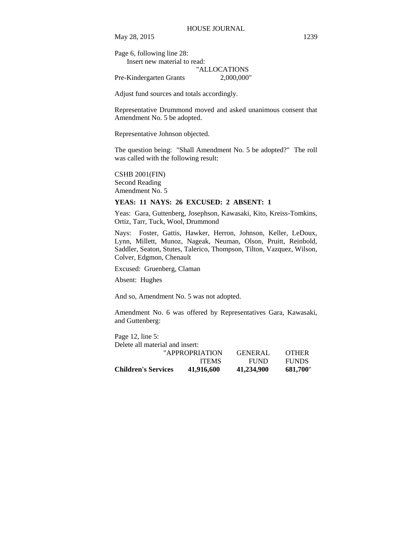Page 6, following line 28:

Insert new material to read: "ALLOCATIONS

Pre-Kindergarten Grants 2,000,000"

Adjust fund sources and totals accordingly.

Representative Drummond moved and asked unanimous consent that Amendment No. 5 be adopted.

Representative Johnson objected.

The question being: "Shall Amendment No. 5 be adopted?" The roll was called with the following result:

CSHB 2001(FIN) Second Reading Amendment No. 5

#### **YEAS: 11 NAYS: 26 EXCUSED: 2 ABSENT: 1**

Yeas: Gara, Guttenberg, Josephson, Kawasaki, Kito, Kreiss-Tomkins, Ortiz, Tarr, Tuck, Wool, Drummond

Nays: Foster, Gattis, Hawker, Herron, Johnson, Keller, LeDoux, Lynn, Millett, Munoz, Nageak, Neuman, Olson, Pruitt, Reinbold, Saddler, Seaton, Stutes, Talerico, Thompson, Tilton, Vazquez, Wilson, Colver, Edgmon, Chenault

Excused: Gruenberg, Claman

Absent: Hughes

And so, Amendment No. 5 was not adopted.

Amendment No. 6 was offered by Representatives Gara, Kawasaki, and Guttenberg:

Page 12, line 5:

| <b>Children's Services</b>      | 41,916,600     | 41,234,900     | 681.700"     |
|---------------------------------|----------------|----------------|--------------|
|                                 | <b>ITEMS</b>   | <b>FUND</b>    | <b>FUNDS</b> |
|                                 | "APPROPRIATION | <b>GENERAL</b> | <b>OTHER</b> |
| Delete all material and insert: |                |                |              |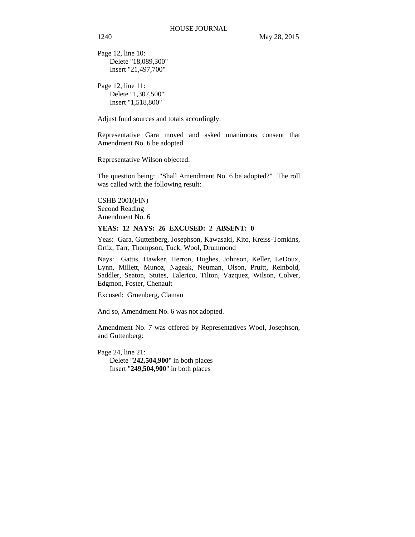Page 12, line 10: Delete "18,089,300" Insert "21,497,700"

Page 12, line 11: Delete "1,307,500" Insert "1,518,800"

Adjust fund sources and totals accordingly.

Representative Gara moved and asked unanimous consent that Amendment No. 6 be adopted.

Representative Wilson objected.

The question being: "Shall Amendment No. 6 be adopted?" The roll was called with the following result:

CSHB 2001(FIN) Second Reading Amendment No. 6

#### **YEAS: 12 NAYS: 26 EXCUSED: 2 ABSENT: 0**

Yeas: Gara, Guttenberg, Josephson, Kawasaki, Kito, Kreiss-Tomkins, Ortiz, Tarr, Thompson, Tuck, Wool, Drummond

Nays: Gattis, Hawker, Herron, Hughes, Johnson, Keller, LeDoux, Lynn, Millett, Munoz, Nageak, Neuman, Olson, Pruitt, Reinbold, Saddler, Seaton, Stutes, Talerico, Tilton, Vazquez, Wilson, Colver, Edgmon, Foster, Chenault

Excused: Gruenberg, Claman

And so, Amendment No. 6 was not adopted.

Amendment No. 7 was offered by Representatives Wool, Josephson, and Guttenberg:

Page 24, line 21:

Delete "**242,504,900**" in both places Insert "**249,504,900**" in both places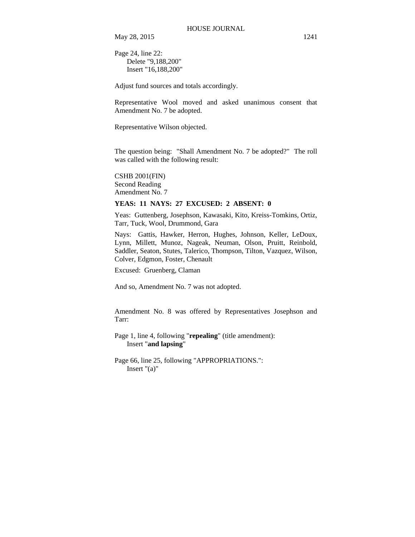Page 24, line 22: Delete "9,188,200" Insert "16,188,200"

Adjust fund sources and totals accordingly.

Representative Wool moved and asked unanimous consent that Amendment No. 7 be adopted.

Representative Wilson objected.

The question being: "Shall Amendment No. 7 be adopted?" The roll was called with the following result:

CSHB 2001(FIN) Second Reading Amendment No. 7

#### **YEAS: 11 NAYS: 27 EXCUSED: 2 ABSENT: 0**

Yeas: Guttenberg, Josephson, Kawasaki, Kito, Kreiss-Tomkins, Ortiz, Tarr, Tuck, Wool, Drummond, Gara

Nays: Gattis, Hawker, Herron, Hughes, Johnson, Keller, LeDoux, Lynn, Millett, Munoz, Nageak, Neuman, Olson, Pruitt, Reinbold, Saddler, Seaton, Stutes, Talerico, Thompson, Tilton, Vazquez, Wilson, Colver, Edgmon, Foster, Chenault

Excused: Gruenberg, Claman

And so, Amendment No. 7 was not adopted.

Amendment No. 8 was offered by Representatives Josephson and Tarr:

Page 1, line 4, following "**repealing**" (title amendment): Insert "**and lapsing**"

Page 66, line 25, following "APPROPRIATIONS.": Insert "(a)"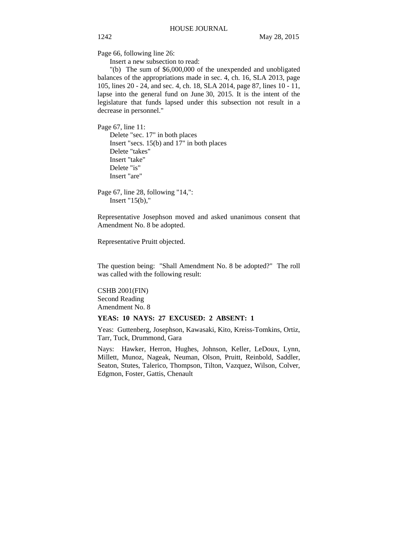Page 66, following line 26:

Insert a new subsection to read:

"(b) The sum of \$6,000,000 of the unexpended and unobligated balances of the appropriations made in sec. 4, ch. 16, SLA 2013, page 105, lines 20 - 24, and sec. 4, ch. 18, SLA 2014, page 87, lines 10 - 11, lapse into the general fund on June 30, 2015. It is the intent of the legislature that funds lapsed under this subsection not result in a decrease in personnel."

Page 67, line 11:

Delete "sec. 17" in both places Insert "secs. 15(b) and 17" in both places Delete "takes" Insert "take" Delete "is" Insert "are"

Page 67, line 28, following "14,": Insert "15(b),"

Representative Josephson moved and asked unanimous consent that Amendment No. 8 be adopted.

Representative Pruitt objected.

The question being: "Shall Amendment No. 8 be adopted?" The roll was called with the following result:

CSHB 2001(FIN) Second Reading Amendment No. 8

#### **YEAS: 10 NAYS: 27 EXCUSED: 2 ABSENT: 1**

Yeas: Guttenberg, Josephson, Kawasaki, Kito, Kreiss-Tomkins, Ortiz, Tarr, Tuck, Drummond, Gara

Nays: Hawker, Herron, Hughes, Johnson, Keller, LeDoux, Lynn, Millett, Munoz, Nageak, Neuman, Olson, Pruitt, Reinbold, Saddler, Seaton, Stutes, Talerico, Thompson, Tilton, Vazquez, Wilson, Colver, Edgmon, Foster, Gattis, Chenault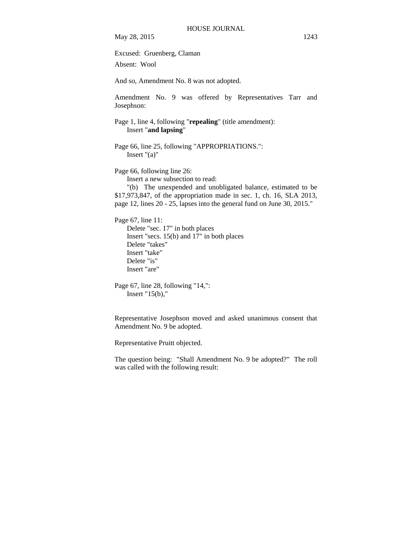Excused: Gruenberg, Claman

Absent: Wool

And so, Amendment No. 8 was not adopted.

Amendment No. 9 was offered by Representatives Tarr and Josephson:

Page 1, line 4, following "repealing" (title amendment): Insert "**and lapsing**"

Page 66, line 25, following "APPROPRIATIONS.": Insert "(a)"

Page 66, following line 26:

Insert a new subsection to read:

"(b) The unexpended and unobligated balance, estimated to be \$17,973,847, of the appropriation made in sec. 1, ch. 16, SLA 2013, page 12, lines 20 - 25, lapses into the general fund on June 30, 2015."

Page 67, line 11:

Delete "sec. 17" in both places Insert "secs. 15(b) and 17" in both places Delete "takes" Insert "take" Delete "is" Insert "are"

```
Page 67, line 28, following "14,": 
Insert "15(b),"
```
Representative Josephson moved and asked unanimous consent that Amendment No. 9 be adopted.

Representative Pruitt objected.

The question being: "Shall Amendment No. 9 be adopted?" The roll was called with the following result: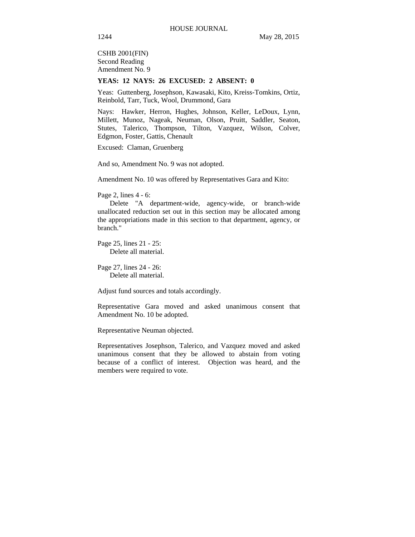CSHB 2001(FIN) Second Reading Amendment No. 9

#### **YEAS: 12 NAYS: 26 EXCUSED: 2 ABSENT: 0**

Yeas: Guttenberg, Josephson, Kawasaki, Kito, Kreiss-Tomkins, Ortiz, Reinbold, Tarr, Tuck, Wool, Drummond, Gara

Nays: Hawker, Herron, Hughes, Johnson, Keller, LeDoux, Lynn, Millett, Munoz, Nageak, Neuman, Olson, Pruitt, Saddler, Seaton, Stutes, Talerico, Thompson, Tilton, Vazquez, Wilson, Colver, Edgmon, Foster, Gattis, Chenault

Excused: Claman, Gruenberg

And so, Amendment No. 9 was not adopted.

Amendment No. 10 was offered by Representatives Gara and Kito:

Page 2, lines 4 - 6:

Delete "A department-wide, agency-wide, or branch-wide unallocated reduction set out in this section may be allocated among the appropriations made in this section to that department, agency, or branch."

Page 25, lines 21 - 25: Delete all material.

Page 27, lines 24 - 26: Delete all material.

Adjust fund sources and totals accordingly.

Representative Gara moved and asked unanimous consent that Amendment No. 10 be adopted.

Representative Neuman objected.

Representatives Josephson, Talerico, and Vazquez moved and asked unanimous consent that they be allowed to abstain from voting because of a conflict of interest. Objection was heard, and the members were required to vote.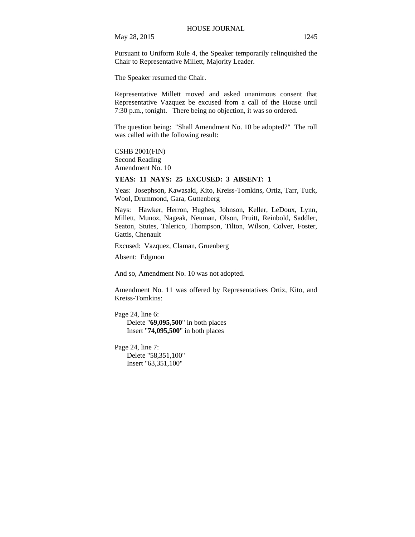Pursuant to Uniform Rule 4, the Speaker temporarily relinquished the Chair to Representative Millett, Majority Leader.

The Speaker resumed the Chair.

Representative Millett moved and asked unanimous consent that Representative Vazquez be excused from a call of the House until 7:30 p.m., tonight. There being no objection, it was so ordered.

The question being: "Shall Amendment No. 10 be adopted?" The roll was called with the following result:

CSHB 2001(FIN) Second Reading Amendment No. 10

## **YEAS: 11 NAYS: 25 EXCUSED: 3 ABSENT: 1**

Yeas: Josephson, Kawasaki, Kito, Kreiss-Tomkins, Ortiz, Tarr, Tuck, Wool, Drummond, Gara, Guttenberg

Nays: Hawker, Herron, Hughes, Johnson, Keller, LeDoux, Lynn, Millett, Munoz, Nageak, Neuman, Olson, Pruitt, Reinbold, Saddler, Seaton, Stutes, Talerico, Thompson, Tilton, Wilson, Colver, Foster, Gattis, Chenault

Excused: Vazquez, Claman, Gruenberg

Absent: Edgmon

And so, Amendment No. 10 was not adopted.

Amendment No. 11 was offered by Representatives Ortiz, Kito, and Kreiss-Tomkins:

Page 24, line 6: Delete "**69,095,500**" in both places Insert "**74,095,500**" in both places

Page 24, line 7: Delete "58,351,100" Insert "63,351,100"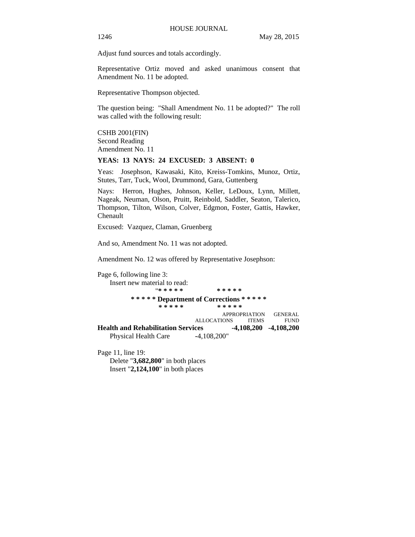Adjust fund sources and totals accordingly.

Representative Ortiz moved and asked unanimous consent that Amendment No. 11 be adopted.

Representative Thompson objected.

The question being: "Shall Amendment No. 11 be adopted?" The roll was called with the following result:

CSHB 2001(FIN) Second Reading Amendment No. 11

## **YEAS: 13 NAYS: 24 EXCUSED: 3 ABSENT: 0**

Yeas: Josephson, Kawasaki, Kito, Kreiss-Tomkins, Munoz, Ortiz, Stutes, Tarr, Tuck, Wool, Drummond, Gara, Guttenberg

Nays: Herron, Hughes, Johnson, Keller, LeDoux, Lynn, Millett, Nageak, Neuman, Olson, Pruitt, Reinbold, Saddler, Seaton, Talerico, Thompson, Tilton, Wilson, Colver, Edgmon, Foster, Gattis, Hawker, Chenault

Excused: Vazquez, Claman, Gruenberg

And so, Amendment No. 11 was not adopted.

Amendment No. 12 was offered by Representative Josephson:

Page 6, following line 3: Insert new material to read: "**\* \* \* \* \* \* \* \* \* \* \* \* \* \* \* Department of Corrections \* \* \* \* \* \* \* \* \* \* \* \* \* \* \*** APPROPRIATION GENERAL ALLOCATIONS ITEMS FUND Health and Rehabilitation Services -4,108,200 -4,108,200 Physical Health Care **-**4,108,200"

Page 11, line 19: Delete "**3,682,800**" in both places Insert "**2,124,100**" in both places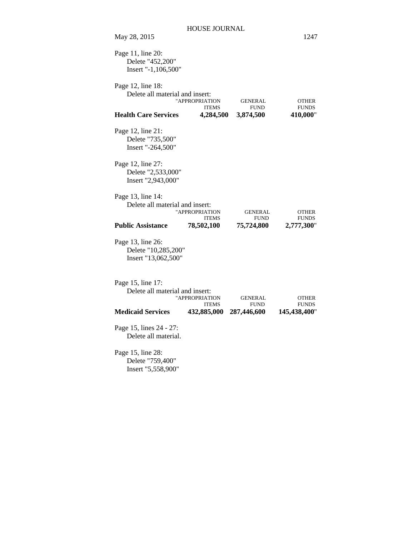| Page 11, line 20:<br>Delete "452,200"<br>Insert "-1,106,500"    |                                |                               |                              |
|-----------------------------------------------------------------|--------------------------------|-------------------------------|------------------------------|
| Page 12, line 18:<br>Delete all material and insert:            | "APPROPRIATION<br><b>ITEMS</b> | <b>GENERAL</b><br><b>FUND</b> | <b>OTHER</b><br><b>FUNDS</b> |
| <b>Health Care Services</b>                                     | 4,284,500                      | 3,874,500                     | 410,000"                     |
| Page 12, line 21:<br>Delete "735,500"<br>Insert "-264,500"      |                                |                               |                              |
| Page 12, line 27:<br>Delete "2,533,000"<br>Insert "2,943,000"   |                                |                               |                              |
| Page 13, line 14:<br>Delete all material and insert:            | "APPROPRIATION<br><b>ITEMS</b> | <b>GENERAL</b><br><b>FUND</b> | <b>OTHER</b><br><b>FUNDS</b> |
| <b>Public Assistance</b>                                        | 78,502,100                     | 75,724,800                    | 2,777,300"                   |
| Page 13, line 26:<br>Delete "10,285,200"<br>Insert "13,062,500" |                                |                               |                              |
| Page 15, line 17:<br>Delete all material and insert:            | "APPROPRIATION<br><b>ITEMS</b> | GENERAL<br><b>FUND</b>        | <b>OTHER</b><br><b>FUNDS</b> |
| <b>Medicaid Services</b>                                        | 432,885,000                    | 287,446,600                   | 145,438,400"                 |
| Page 15, lines 24 - 27:<br>Delete all material.                 |                                |                               |                              |
| Page 15, line 28:<br>Delete "759,400"<br>Insert "5,558,900"     |                                |                               |                              |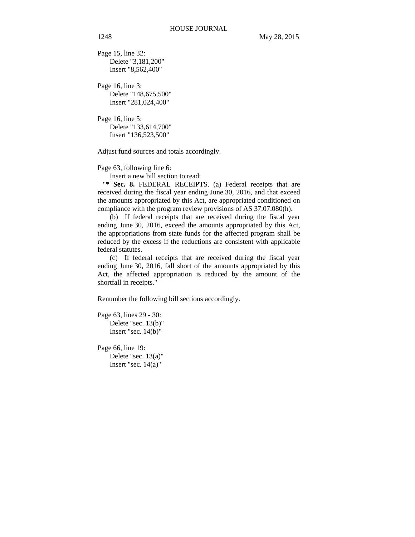Page 15, line 32: Delete "3,181,200" Insert "8,562,400"

Page 16, line 3: Delete "148,675,500" Insert "281,024,400"

Page 16, line 5: Delete "133,614,700" Insert "136,523,500"

Adjust fund sources and totals accordingly.

Page 63, following line 6:

Insert a new bill section to read:

"**\* Sec. 8.** FEDERAL RECEIPTS. (a) Federal receipts that are received during the fiscal year ending June 30, 2016, and that exceed the amounts appropriated by this Act, are appropriated conditioned on compliance with the program review provisions of AS 37.07.080(h).

(b) If federal receipts that are received during the fiscal year ending June 30, 2016, exceed the amounts appropriated by this Act, the appropriations from state funds for the affected program shall be reduced by the excess if the reductions are consistent with applicable federal statutes.

(c) If federal receipts that are received during the fiscal year ending June 30, 2016, fall short of the amounts appropriated by this Act, the affected appropriation is reduced by the amount of the shortfall in receipts."

Renumber the following bill sections accordingly.

Page 63, lines 29 - 30: Delete "sec. 13(b)" Insert "sec. 14(b)"

Page 66, line 19: Delete "sec. 13(a)" Insert "sec. 14(a)"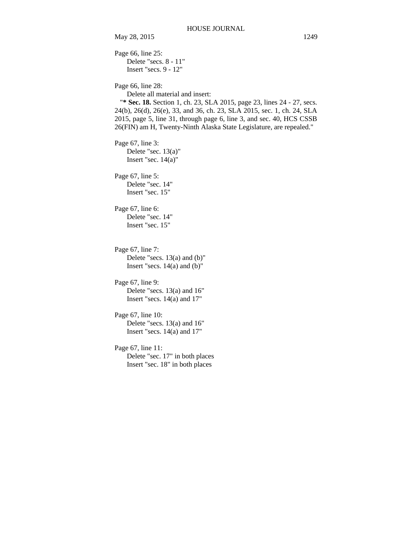Page 66, line 25: Delete "secs. 8 - 11" Insert "secs. 9 - 12" Page 66, line 28: Delete all material and insert: "**\* Sec. 18.** Section 1, ch. 23, SLA 2015, page 23, lines 24 - 27, secs. 24(b), 26(d), 26(e), 33, and 36, ch. 23, SLA 2015, sec. 1, ch. 24, SLA 2015, page 5, line 31, through page 6, line 3, and sec. 40, HCS CSSB 26(FIN) am H, Twenty-Ninth Alaska State Legislature, are repealed." Page 67, line 3: Delete "sec. 13(a)" Insert "sec.  $14(a)$ " Page 67, line 5: Delete "sec. 14" Insert "sec. 15" Page 67, line 6: Delete "sec. 14" Insert "sec. 15" Page 67, line 7: Delete "secs. 13(a) and (b)" Insert "secs.  $14(a)$  and  $(b)$ " Page 67, line 9: Delete "secs. 13(a) and 16" Insert "secs. 14(a) and 17" Page 67, line 10: Delete "secs. 13(a) and 16" Insert "secs. 14(a) and 17" Page 67, line 11: Delete "sec. 17" in both places Insert "sec. 18" in both places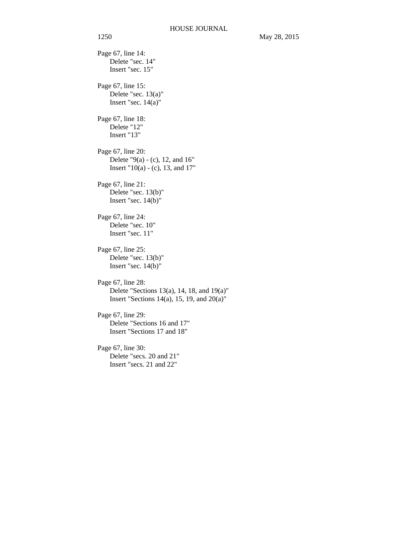Page 67, line 14: Delete "sec. 14" Insert "sec. 15" Page 67, line 15: Delete "sec. 13(a)" Insert "sec.  $14(a)$ " Page 67, line 18: Delete "12" Insert "13" Page 67, line 20: Delete "9(a) - (c), 12, and 16" Insert "10(a) - (c), 13, and 17" Page 67, line 21: Delete "sec. 13(b)" Insert "sec. 14(b)" Page 67, line 24: Delete "sec. 10" Insert "sec. 11" Page 67, line 25: Delete "sec. 13(b)" Insert "sec. 14(b)" Page 67, line 28: Delete "Sections 13(a), 14, 18, and 19(a)" Insert "Sections 14(a), 15, 19, and 20(a)" Page 67, line 29: Delete "Sections 16 and 17" Insert "Sections 17 and 18" Page 67, line 30: Delete "secs. 20 and 21" Insert "secs. 21 and 22"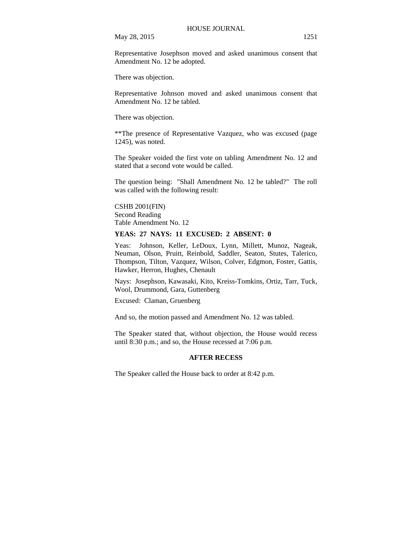Representative Josephson moved and asked unanimous consent that Amendment No. 12 be adopted.

There was objection.

Representative Johnson moved and asked unanimous consent that Amendment No. 12 be tabled.

There was objection.

\*\*The presence of Representative Vazquez, who was excused (page 1245), was noted.

The Speaker voided the first vote on tabling Amendment No. 12 and stated that a second vote would be called.

The question being: "Shall Amendment No. 12 be tabled?" The roll was called with the following result:

CSHB 2001(FIN) Second Reading Table Amendment No. 12

### **YEAS: 27 NAYS: 11 EXCUSED: 2 ABSENT: 0**

Yeas: Johnson, Keller, LeDoux, Lynn, Millett, Munoz, Nageak, Neuman, Olson, Pruitt, Reinbold, Saddler, Seaton, Stutes, Talerico, Thompson, Tilton, Vazquez, Wilson, Colver, Edgmon, Foster, Gattis, Hawker, Herron, Hughes, Chenault

Nays: Josephson, Kawasaki, Kito, Kreiss-Tomkins, Ortiz, Tarr, Tuck, Wool, Drummond, Gara, Guttenberg

Excused: Claman, Gruenberg

And so, the motion passed and Amendment No. 12 was tabled.

The Speaker stated that, without objection, the House would recess until 8:30 p.m.; and so, the House recessed at 7:06 p.m.

#### **AFTER RECESS**

The Speaker called the House back to order at 8:42 p.m.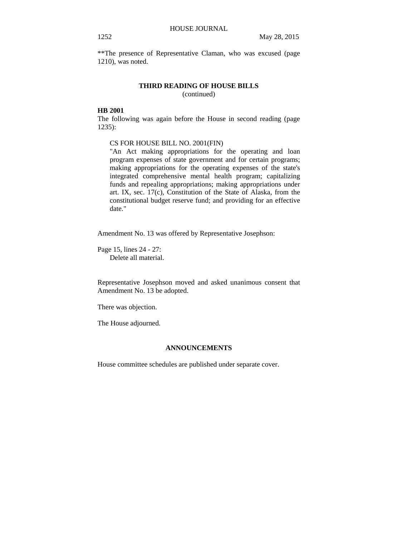\*\*The presence of Representative Claman, who was excused (page 1210), was noted.

#### **THIRD READING OF HOUSE BILLS**

(continued)

### **HB 2001**

The following was again before the House in second reading (page 1235):

#### CS FOR HOUSE BILL NO. 2001(FIN)

"An Act making appropriations for the operating and loan program expenses of state government and for certain programs; making appropriations for the operating expenses of the state's integrated comprehensive mental health program; capitalizing funds and repealing appropriations; making appropriations under art. IX, sec. 17(c), Constitution of the State of Alaska, from the constitutional budget reserve fund; and providing for an effective date."

Amendment No. 13 was offered by Representative Josephson:

Page 15, lines 24 - 27: Delete all material.

Representative Josephson moved and asked unanimous consent that Amendment No. 13 be adopted.

There was objection.

The House adjourned.

### **ANNOUNCEMENTS**

House committee schedules are published under separate cover.